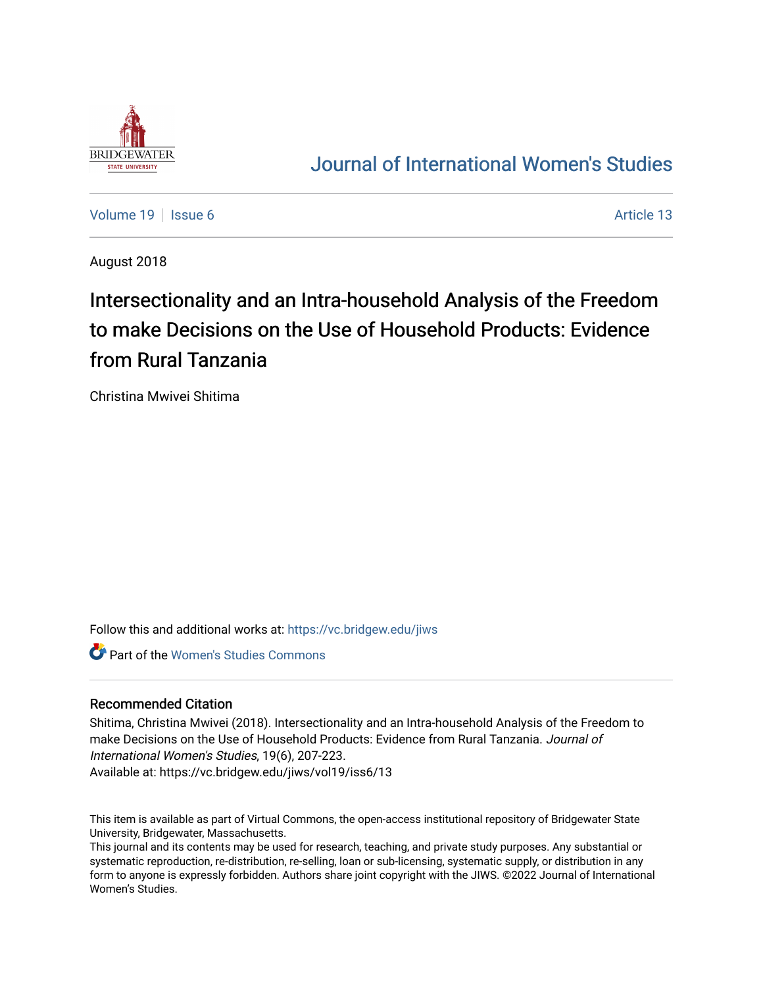

# [Journal of International Women's Studies](https://vc.bridgew.edu/jiws)

[Volume 19](https://vc.bridgew.edu/jiws/vol19) | [Issue 6](https://vc.bridgew.edu/jiws/vol19/iss6) Article 13

August 2018

# Intersectionality and an Intra-household Analysis of the Freedom to make Decisions on the Use of Household Products: Evidence from Rural Tanzania

Christina Mwivei Shitima

Follow this and additional works at: [https://vc.bridgew.edu/jiws](https://vc.bridgew.edu/jiws?utm_source=vc.bridgew.edu%2Fjiws%2Fvol19%2Fiss6%2F13&utm_medium=PDF&utm_campaign=PDFCoverPages)

Part of the [Women's Studies Commons](http://network.bepress.com/hgg/discipline/561?utm_source=vc.bridgew.edu%2Fjiws%2Fvol19%2Fiss6%2F13&utm_medium=PDF&utm_campaign=PDFCoverPages) 

#### Recommended Citation

Shitima, Christina Mwivei (2018). Intersectionality and an Intra-household Analysis of the Freedom to make Decisions on the Use of Household Products: Evidence from Rural Tanzania. Journal of International Women's Studies, 19(6), 207-223.

Available at: https://vc.bridgew.edu/jiws/vol19/iss6/13

This item is available as part of Virtual Commons, the open-access institutional repository of Bridgewater State University, Bridgewater, Massachusetts.

This journal and its contents may be used for research, teaching, and private study purposes. Any substantial or systematic reproduction, re-distribution, re-selling, loan or sub-licensing, systematic supply, or distribution in any form to anyone is expressly forbidden. Authors share joint copyright with the JIWS. ©2022 Journal of International Women's Studies.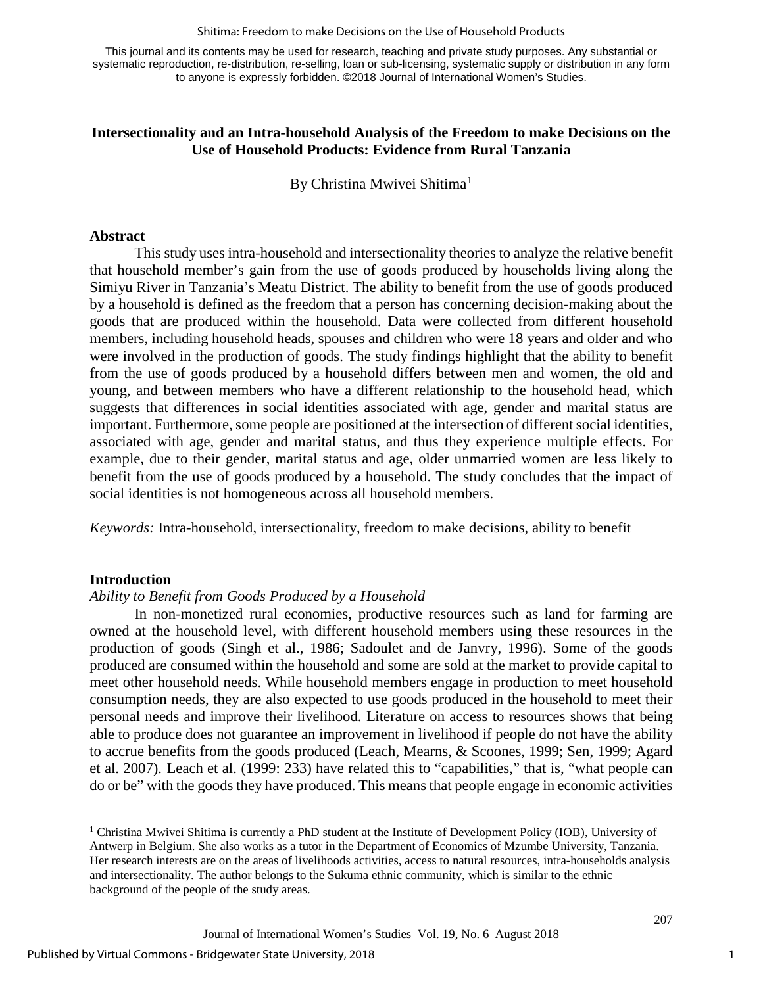#### Shitima: Freedom to make Decisions on the Use of Household Products

This journal and its contents may be used for research, teaching and private study purposes. Any substantial or systematic reproduction, re-distribution, re-selling, loan or sub-licensing, systematic supply or distribution in any form to anyone is expressly forbidden. ©2018 Journal of International Women's Studies.

# **Intersectionality and an Intra-household Analysis of the Freedom to make Decisions on the Use of Household Products: Evidence from Rural Tanzania**

By Christina Mwivei Shitima<sup>[1](#page-1-0)</sup>

#### **Abstract**

This study uses intra-household and intersectionality theories to analyze the relative benefit that household member's gain from the use of goods produced by households living along the Simiyu River in Tanzania's Meatu District. The ability to benefit from the use of goods produced by a household is defined as the freedom that a person has concerning decision-making about the goods that are produced within the household. Data were collected from different household members, including household heads, spouses and children who were 18 years and older and who were involved in the production of goods. The study findings highlight that the ability to benefit from the use of goods produced by a household differs between men and women, the old and young, and between members who have a different relationship to the household head, which suggests that differences in social identities associated with age, gender and marital status are important. Furthermore, some people are positioned at the intersection of different social identities, associated with age, gender and marital status, and thus they experience multiple effects. For example, due to their gender, marital status and age, older unmarried women are less likely to benefit from the use of goods produced by a household. The study concludes that the impact of social identities is not homogeneous across all household members.

*Keywords:* Intra-household, intersectionality, freedom to make decisions, ability to benefit

#### **Introduction**

 $\overline{\phantom{a}}$ 

# *Ability to Benefit from Goods Produced by a Household*

In non-monetized rural economies, productive resources such as land for farming are owned at the household level, with different household members using these resources in the production of goods (Singh et al., 1986; Sadoulet and de Janvry, 1996). Some of the goods produced are consumed within the household and some are sold at the market to provide capital to meet other household needs. While household members engage in production to meet household consumption needs, they are also expected to use goods produced in the household to meet their personal needs and improve their livelihood. Literature on access to resources shows that being able to produce does not guarantee an improvement in livelihood if people do not have the ability to accrue benefits from the goods produced (Leach, Mearns, & Scoones, 1999; Sen, 1999; Agard et al. 2007). Leach et al. (1999: 233) have related this to "capabilities," that is, "what people can do or be" with the goods they have produced. This means that people engage in economic activities

<span id="page-1-0"></span><sup>1</sup> Christina Mwivei Shitima is currently a PhD student at the Institute of Development Policy (IOB), University of Antwerp in Belgium. She also works as a tutor in the Department of Economics of Mzumbe University, Tanzania. Her research interests are on the areas of livelihoods activities, access to natural resources, intra-households analysis and intersectionality. The author belongs to the Sukuma ethnic community, which is similar to the ethnic background of the people of the study areas.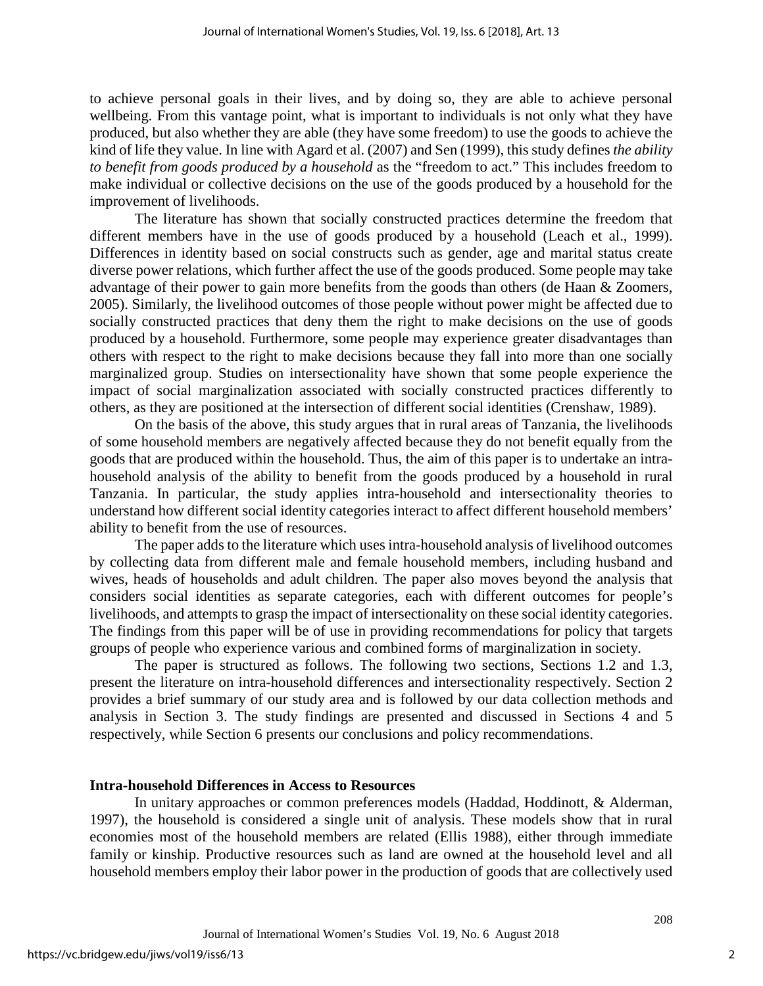to achieve personal goals in their lives, and by doing so, they are able to achieve personal wellbeing. From this vantage point, what is important to individuals is not only what they have produced, but also whether they are able (they have some freedom) to use the goods to achieve the kind of life they value. In line with Agard et al. (2007) and Sen (1999), this study defines *the ability to benefit from goods produced by a household* as the "freedom to act." This includes freedom to make individual or collective decisions on the use of the goods produced by a household for the improvement of livelihoods.

The literature has shown that socially constructed practices determine the freedom that different members have in the use of goods produced by a household (Leach et al., 1999). Differences in identity based on social constructs such as gender, age and marital status create diverse power relations, which further affect the use of the goods produced. Some people may take advantage of their power to gain more benefits from the goods than others (de Haan & Zoomers, 2005). Similarly, the livelihood outcomes of those people without power might be affected due to socially constructed practices that deny them the right to make decisions on the use of goods produced by a household. Furthermore, some people may experience greater disadvantages than others with respect to the right to make decisions because they fall into more than one socially marginalized group. Studies on intersectionality have shown that some people experience the impact of social marginalization associated with socially constructed practices differently to others, as they are positioned at the intersection of different social identities (Crenshaw, 1989).

On the basis of the above, this study argues that in rural areas of Tanzania, the livelihoods of some household members are negatively affected because they do not benefit equally from the goods that are produced within the household. Thus, the aim of this paper is to undertake an intrahousehold analysis of the ability to benefit from the goods produced by a household in rural Tanzania. In particular, the study applies intra-household and intersectionality theories to understand how different social identity categories interact to affect different household members' ability to benefit from the use of resources.

The paper adds to the literature which uses intra-household analysis of livelihood outcomes by collecting data from different male and female household members, including husband and wives, heads of households and adult children. The paper also moves beyond the analysis that considers social identities as separate categories, each with different outcomes for people's livelihoods, and attempts to grasp the impact of intersectionality on these social identity categories. The findings from this paper will be of use in providing recommendations for policy that targets groups of people who experience various and combined forms of marginalization in society.

The paper is structured as follows. The following two sections, Sections 1.2 and 1.3, present the literature on intra-household differences and intersectionality respectively. Section 2 provides a brief summary of our study area and is followed by our data collection methods and analysis in Section 3. The study findings are presented and discussed in Sections 4 and 5 respectively, while Section 6 presents our conclusions and policy recommendations.

# **Intra-household Differences in Access to Resources**

In unitary approaches or common preferences models (Haddad, Hoddinott, & Alderman, 1997), the household is considered a single unit of analysis. These models show that in rural economies most of the household members are related (Ellis 1988), either through immediate family or kinship. Productive resources such as land are owned at the household level and all household members employ their labor power in the production of goods that are collectively used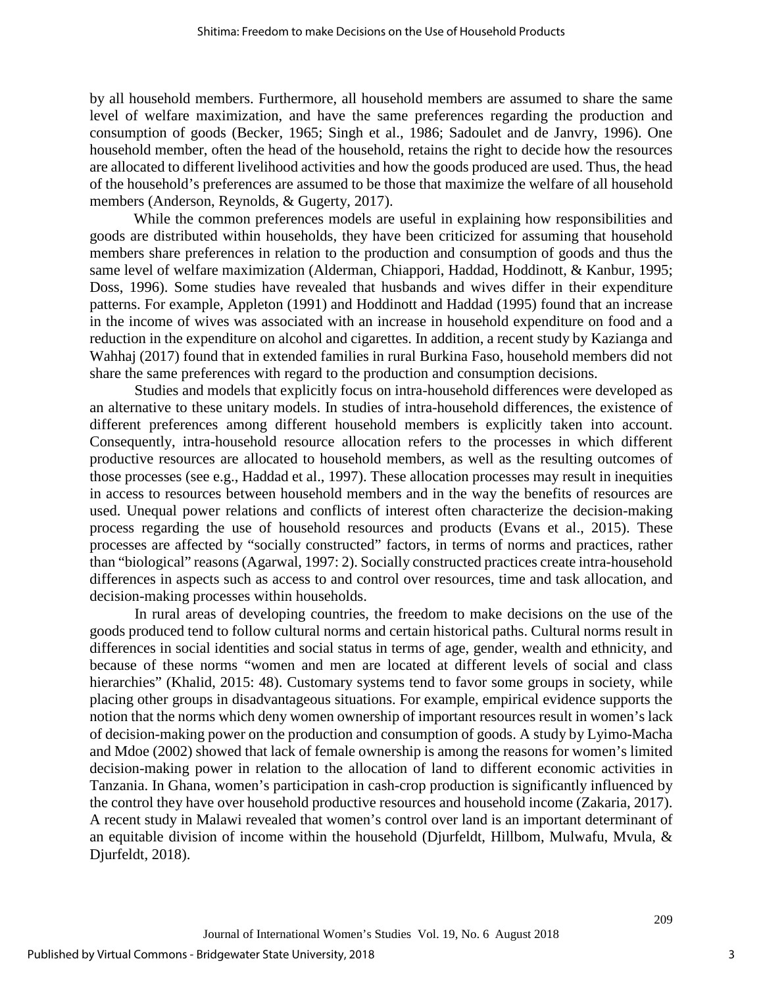by all household members. Furthermore, all household members are assumed to share the same level of welfare maximization, and have the same preferences regarding the production and consumption of goods (Becker, 1965; Singh et al., 1986; Sadoulet and de Janvry, 1996). One household member, often the head of the household, retains the right to decide how the resources are allocated to different livelihood activities and how the goods produced are used. Thus, the head of the household's preferences are assumed to be those that maximize the welfare of all household members (Anderson, Reynolds, & Gugerty, 2017).

While the common preferences models are useful in explaining how responsibilities and goods are distributed within households, they have been criticized for assuming that household members share preferences in relation to the production and consumption of goods and thus the same level of welfare maximization (Alderman, Chiappori, Haddad, Hoddinott, & Kanbur, 1995; Doss, 1996). Some studies have revealed that husbands and wives differ in their expenditure patterns. For example, Appleton (1991) and Hoddinott and Haddad (1995) found that an increase in the income of wives was associated with an increase in household expenditure on food and a reduction in the expenditure on alcohol and cigarettes. In addition, a recent study by Kazianga and Wahhaj (2017) found that in extended families in rural Burkina Faso, household members did not share the same preferences with regard to the production and consumption decisions.

Studies and models that explicitly focus on intra-household differences were developed as an alternative to these unitary models. In studies of intra-household differences, the existence of different preferences among different household members is explicitly taken into account. Consequently, intra-household resource allocation refers to the processes in which different productive resources are allocated to household members, as well as the resulting outcomes of those processes (see e.g., Haddad et al., 1997). These allocation processes may result in inequities in access to resources between household members and in the way the benefits of resources are used. Unequal power relations and conflicts of interest often characterize the decision-making process regarding the use of household resources and products (Evans et al., 2015). These processes are affected by "socially constructed" factors, in terms of norms and practices, rather than "biological" reasons (Agarwal, 1997: 2). Socially constructed practices create intra-household differences in aspects such as access to and control over resources, time and task allocation, and decision-making processes within households.

In rural areas of developing countries, the freedom to make decisions on the use of the goods produced tend to follow cultural norms and certain historical paths. Cultural norms result in differences in social identities and social status in terms of age, gender, wealth and ethnicity, and because of these norms "women and men are located at different levels of social and class hierarchies" (Khalid, 2015: 48). Customary systems tend to favor some groups in society, while placing other groups in disadvantageous situations. For example, empirical evidence supports the notion that the norms which deny women ownership of important resources result in women's lack of decision-making power on the production and consumption of goods. A study by Lyimo-Macha and Mdoe (2002) showed that lack of female ownership is among the reasons for women's limited decision-making power in relation to the allocation of land to different economic activities in Tanzania. In Ghana, women's participation in cash-crop production is significantly influenced by the control they have over household productive resources and household income (Zakaria, 2017). A recent study in Malawi revealed that women's control over land is an important determinant of an equitable division of income within the household (Djurfeldt, Hillbom, Mulwafu, Mvula, & Djurfeldt, 2018).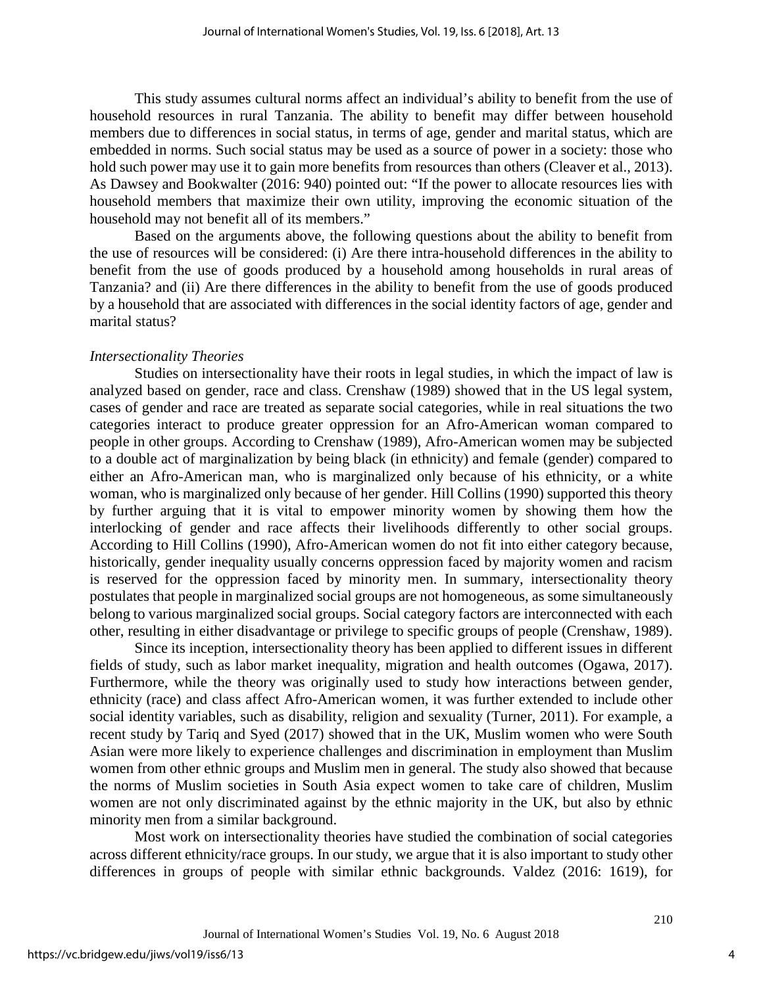This study assumes cultural norms affect an individual's ability to benefit from the use of household resources in rural Tanzania. The ability to benefit may differ between household members due to differences in social status, in terms of age, gender and marital status, which are embedded in norms. Such social status may be used as a source of power in a society: those who hold such power may use it to gain more benefits from resources than others (Cleaver et al., 2013). As Dawsey and Bookwalter (2016: 940) pointed out: "If the power to allocate resources lies with household members that maximize their own utility, improving the economic situation of the household may not benefit all of its members."

Based on the arguments above, the following questions about the ability to benefit from the use of resources will be considered: (i) Are there intra-household differences in the ability to benefit from the use of goods produced by a household among households in rural areas of Tanzania? and (ii) Are there differences in the ability to benefit from the use of goods produced by a household that are associated with differences in the social identity factors of age, gender and marital status?

#### *Intersectionality Theories*

Studies on intersectionality have their roots in legal studies, in which the impact of law is analyzed based on gender, race and class. Crenshaw (1989) showed that in the US legal system, cases of gender and race are treated as separate social categories, while in real situations the two categories interact to produce greater oppression for an Afro-American woman compared to people in other groups. According to Crenshaw (1989), Afro-American women may be subjected to a double act of marginalization by being black (in ethnicity) and female (gender) compared to either an Afro-American man, who is marginalized only because of his ethnicity, or a white woman, who is marginalized only because of her gender. Hill Collins (1990) supported this theory by further arguing that it is vital to empower minority women by showing them how the interlocking of gender and race affects their livelihoods differently to other social groups. According to Hill Collins (1990), Afro-American women do not fit into either category because, historically, gender inequality usually concerns oppression faced by majority women and racism is reserved for the oppression faced by minority men. In summary, intersectionality theory postulates that people in marginalized social groups are not homogeneous, as some simultaneously belong to various marginalized social groups. Social category factors are interconnected with each other, resulting in either disadvantage or privilege to specific groups of people (Crenshaw, 1989).

Since its inception, intersectionality theory has been applied to different issues in different fields of study, such as labor market inequality, migration and health outcomes (Ogawa, 2017). Furthermore, while the theory was originally used to study how interactions between gender, ethnicity (race) and class affect Afro-American women, it was further extended to include other social identity variables, such as disability, religion and sexuality (Turner, 2011). For example, a recent study by Tariq and Syed (2017) showed that in the UK, Muslim women who were South Asian were more likely to experience challenges and discrimination in employment than Muslim women from other ethnic groups and Muslim men in general. The study also showed that because the norms of Muslim societies in South Asia expect women to take care of children, Muslim women are not only discriminated against by the ethnic majority in the UK, but also by ethnic minority men from a similar background.

Most work on intersectionality theories have studied the combination of social categories across different ethnicity/race groups. In our study, we argue that it is also important to study other differences in groups of people with similar ethnic backgrounds. Valdez (2016: 1619), for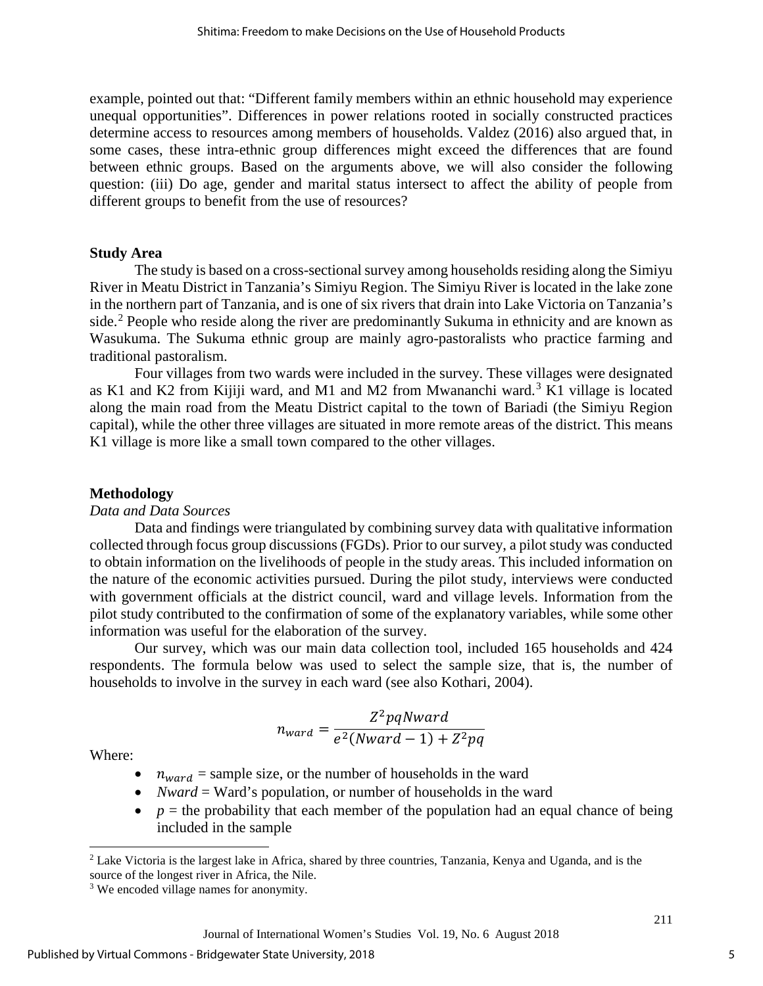example, pointed out that: "Different family members within an ethnic household may experience unequal opportunities". Differences in power relations rooted in socially constructed practices determine access to resources among members of households. Valdez (2016) also argued that, in some cases, these intra-ethnic group differences might exceed the differences that are found between ethnic groups. Based on the arguments above, we will also consider the following question: (iii) Do age, gender and marital status intersect to affect the ability of people from different groups to benefit from the use of resources?

#### **Study Area**

The study is based on a cross-sectional survey among households residing along the Simiyu River in Meatu District in Tanzania's Simiyu Region. The Simiyu River is located in the lake zone in the northern part of Tanzania, and is one of six rivers that drain into Lake Victoria on Tanzania's side.<sup>[2](#page-5-0)</sup> People who reside along the river are predominantly Sukuma in ethnicity and are known as Wasukuma. The Sukuma ethnic group are mainly agro-pastoralists who practice farming and traditional pastoralism.

Four villages from two wards were included in the survey. These villages were designated as K1 and K2 from Kijiji ward, and M1 and M2 from Mwananchi ward. [3](#page-5-1) K1 village is located along the main road from the Meatu District capital to the town of Bariadi (the Simiyu Region capital), while the other three villages are situated in more remote areas of the district. This means K1 village is more like a small town compared to the other villages.

#### **Methodology**

#### *Data and Data Sources*

Data and findings were triangulated by combining survey data with qualitative information collected through focus group discussions (FGDs). Prior to our survey, a pilot study was conducted to obtain information on the livelihoods of people in the study areas. This included information on the nature of the economic activities pursued. During the pilot study, interviews were conducted with government officials at the district council, ward and village levels. Information from the pilot study contributed to the confirmation of some of the explanatory variables, while some other information was useful for the elaboration of the survey.

Our survey, which was our main data collection tool, included 165 households and 424 respondents. The formula below was used to select the sample size, that is, the number of households to involve in the survey in each ward (see also Kothari, 2004).

$$
n_{ward} = \frac{Z^2pqNward}{e^2(Nward - 1) + Z^2pq}
$$

Where:

l

- $n_{ward}$  = sample size, or the number of households in the ward
- *Nward* = Ward's population, or number of households in the ward
- $p =$  the probability that each member of the population had an equal chance of being included in the sample

5

<span id="page-5-0"></span><sup>2</sup> Lake Victoria is the largest lake in Africa, shared by three countries, Tanzania, Kenya and Uganda, and is the source of the longest river in Africa, the Nile.

<span id="page-5-1"></span><sup>&</sup>lt;sup>3</sup> We encoded village names for anonymity.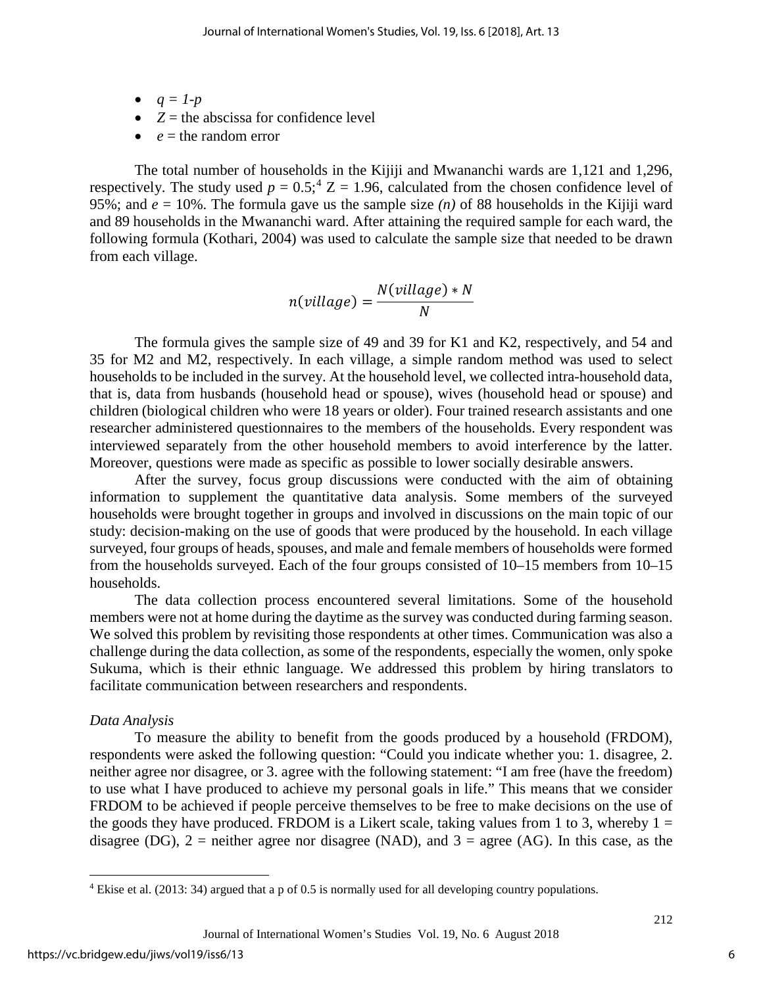- $q = 1-p$
- $Z =$  the abscissa for confidence level
- $\bullet$  *e* = the random error

The total number of households in the Kijiji and Mwananchi wards are 1,121 and 1,296, respectively. The study used  $p = 0.5$ ;  $Z = 1.96$ , calculated from the chosen confidence level of 95%; and  $e = 10$ %. The formula gave us the sample size  $(n)$  of 88 households in the Kijiji ward and 89 households in the Mwananchi ward. After attaining the required sample for each ward, the following formula (Kothari, 2004) was used to calculate the sample size that needed to be drawn from each village.

$$
n(village) = \frac{N(village) * N}{N}
$$

The formula gives the sample size of 49 and 39 for K1 and K2, respectively, and 54 and 35 for M2 and M2, respectively. In each village, a simple random method was used to select households to be included in the survey. At the household level, we collected intra-household data, that is, data from husbands (household head or spouse), wives (household head or spouse) and children (biological children who were 18 years or older). Four trained research assistants and one researcher administered questionnaires to the members of the households. Every respondent was interviewed separately from the other household members to avoid interference by the latter. Moreover, questions were made as specific as possible to lower socially desirable answers.

After the survey, focus group discussions were conducted with the aim of obtaining information to supplement the quantitative data analysis. Some members of the surveyed households were brought together in groups and involved in discussions on the main topic of our study: decision-making on the use of goods that were produced by the household. In each village surveyed, four groups of heads, spouses, and male and female members of households were formed from the households surveyed. Each of the four groups consisted of 10–15 members from 10–15 households.

The data collection process encountered several limitations. Some of the household members were not at home during the daytime as the survey was conducted during farming season. We solved this problem by revisiting those respondents at other times. Communication was also a challenge during the data collection, as some of the respondents, especially the women, only spoke Sukuma, which is their ethnic language. We addressed this problem by hiring translators to facilitate communication between researchers and respondents.

# *Data Analysis*

To measure the ability to benefit from the goods produced by a household (FRDOM), respondents were asked the following question: "Could you indicate whether you: 1. disagree, 2. neither agree nor disagree, or 3. agree with the following statement: "I am free (have the freedom) to use what I have produced to achieve my personal goals in life." This means that we consider FRDOM to be achieved if people perceive themselves to be free to make decisions on the use of the goods they have produced. FRDOM is a Likert scale, taking values from 1 to 3, whereby  $1 =$ disagree (DG),  $2$  = neither agree nor disagree (NAD), and  $3$  = agree (AG). In this case, as the

l

<span id="page-6-0"></span><sup>4</sup> Ekise et al. (2013: 34) argued that a p of 0.5 is normally used for all developing country populations.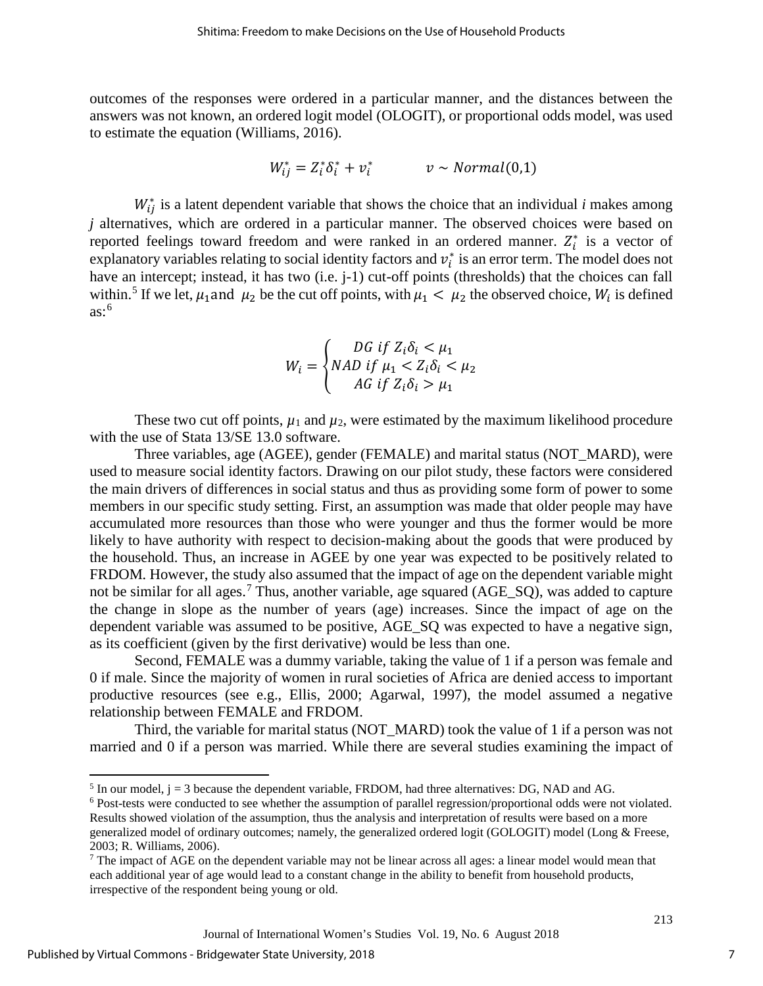outcomes of the responses were ordered in a particular manner, and the distances between the answers was not known, an ordered logit model (OLOGIT), or proportional odds model, was used to estimate the equation (Williams, 2016).

$$
W_{ij}^* = Z_i^* \delta_i^* + v_i^* \qquad v \sim Normal(0,1)
$$

 $W_{ij}^*$  is a latent dependent variable that shows the choice that an individual *i* makes among *j* alternatives, which are ordered in a particular manner. The observed choices were based on reported feelings toward freedom and were ranked in an ordered manner.  $Z_i^*$  is a vector of explanatory variables relating to social identity factors and  $v_i^*$  is an error term. The model does not have an intercept; instead, it has two (i.e. j-1) cut-off points (thresholds) that the choices can fall within.<sup>[5](#page-7-0)</sup> If we let,  $\mu_1$  and  $\mu_2$  be the cut off points, with  $\mu_1 < \mu_2$  the observed choice,  $W_i$  is defined as: [6](#page-7-1)

$$
W_i = \begin{cases} DG \text{ if } Z_i \delta_i < \mu_1 \\ NAD \text{ if } \mu_1 < Z_i \delta_i < \mu_2 \\ AG \text{ if } Z_i \delta_i > \mu_1 \end{cases}
$$

These two cut off points,  $\mu_1$  and  $\mu_2$ , were estimated by the maximum likelihood procedure with the use of Stata 13/SE 13.0 software.

Three variables, age (AGEE), gender (FEMALE) and marital status (NOT\_MARD), were used to measure social identity factors. Drawing on our pilot study, these factors were considered the main drivers of differences in social status and thus as providing some form of power to some members in our specific study setting. First, an assumption was made that older people may have accumulated more resources than those who were younger and thus the former would be more likely to have authority with respect to decision-making about the goods that were produced by the household. Thus, an increase in AGEE by one year was expected to be positively related to FRDOM. However, the study also assumed that the impact of age on the dependent variable might not be similar for all ages.<sup>[7](#page-7-2)</sup> Thus, another variable, age squared (AGE\_SQ), was added to capture the change in slope as the number of years (age) increases. Since the impact of age on the dependent variable was assumed to be positive, AGE\_SQ was expected to have a negative sign, as its coefficient (given by the first derivative) would be less than one.

Second, FEMALE was a dummy variable, taking the value of 1 if a person was female and 0 if male. Since the majority of women in rural societies of Africa are denied access to important productive resources (see e.g., Ellis, 2000; Agarwal, 1997), the model assumed a negative relationship between FEMALE and FRDOM.

Third, the variable for marital status (NOT\_MARD) took the value of 1 if a person was not married and 0 if a person was married. While there are several studies examining the impact of

l

<span id="page-7-0"></span> $<sup>5</sup>$  In our model,  $j = 3$  because the dependent variable, FRDOM, had three alternatives: DG, NAD and AG.</sup>

<span id="page-7-1"></span><sup>6</sup> Post-tests were conducted to see whether the assumption of parallel regression/proportional odds were not violated. Results showed violation of the assumption, thus the analysis and interpretation of results were based on a more

generalized model of ordinary outcomes; namely, the generalized ordered logit (GOLOGIT) model (Long & Freese, 2003; R. Williams, 2006).

<span id="page-7-2"></span><sup>7</sup> The impact of AGE on the dependent variable may not be linear across all ages: a linear model would mean that each additional year of age would lead to a constant change in the ability to benefit from household products, irrespective of the respondent being young or old.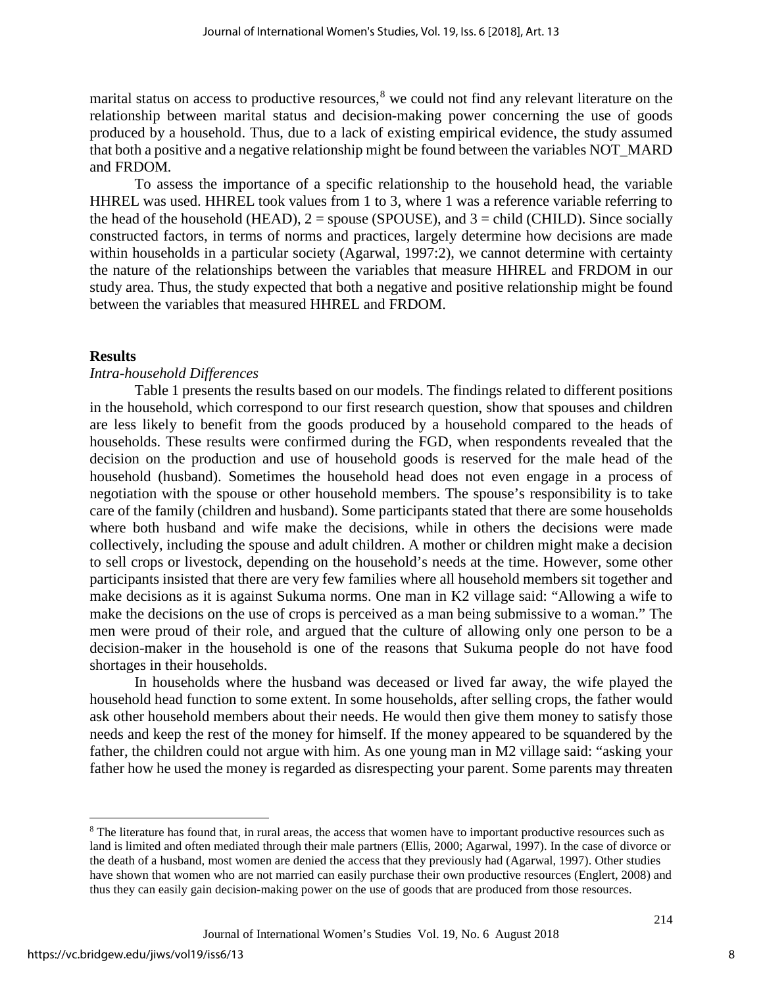marital status on access to productive resources,<sup>[8](#page-8-0)</sup> we could not find any relevant literature on the relationship between marital status and decision-making power concerning the use of goods produced by a household. Thus, due to a lack of existing empirical evidence, the study assumed that both a positive and a negative relationship might be found between the variables NOT\_MARD and FRDOM*.* 

To assess the importance of a specific relationship to the household head, the variable HHREL was used. HHREL took values from 1 to 3, where 1 was a reference variable referring to the head of the household (HEAD),  $2 =$  spouse (SPOUSE), and  $3 =$  child (CHILD). Since socially constructed factors, in terms of norms and practices, largely determine how decisions are made within households in a particular society (Agarwal, 1997:2), we cannot determine with certainty the nature of the relationships between the variables that measure HHREL and FRDOM in our study area. Thus, the study expected that both a negative and positive relationship might be found between the variables that measured HHREL and FRDOM.

## **Results**

# *Intra-household Differences*

Table 1 presents the results based on our models. The findings related to different positions in the household, which correspond to our first research question, show that spouses and children are less likely to benefit from the goods produced by a household compared to the heads of households. These results were confirmed during the FGD, when respondents revealed that the decision on the production and use of household goods is reserved for the male head of the household (husband). Sometimes the household head does not even engage in a process of negotiation with the spouse or other household members. The spouse's responsibility is to take care of the family (children and husband). Some participants stated that there are some households where both husband and wife make the decisions, while in others the decisions were made collectively, including the spouse and adult children. A mother or children might make a decision to sell crops or livestock, depending on the household's needs at the time. However, some other participants insisted that there are very few families where all household members sit together and make decisions as it is against Sukuma norms. One man in K2 village said: "Allowing a wife to make the decisions on the use of crops is perceived as a man being submissive to a woman." The men were proud of their role, and argued that the culture of allowing only one person to be a decision-maker in the household is one of the reasons that Sukuma people do not have food shortages in their households.

In households where the husband was deceased or lived far away, the wife played the household head function to some extent. In some households, after selling crops, the father would ask other household members about their needs. He would then give them money to satisfy those needs and keep the rest of the money for himself. If the money appeared to be squandered by the father, the children could not argue with him. As one young man in M2 village said: "asking your father how he used the money is regarded as disrespecting your parent. Some parents may threaten

 $\overline{\phantom{a}}$ 

<span id="page-8-0"></span><sup>&</sup>lt;sup>8</sup> The literature has found that, in rural areas, the access that women have to important productive resources such as land is limited and often mediated through their male partners (Ellis, 2000; Agarwal, 1997). In the case of divorce or the death of a husband, most women are denied the access that they previously had (Agarwal, 1997). Other studies have shown that women who are not married can easily purchase their own productive resources (Englert, 2008) and thus they can easily gain decision-making power on the use of goods that are produced from those resources.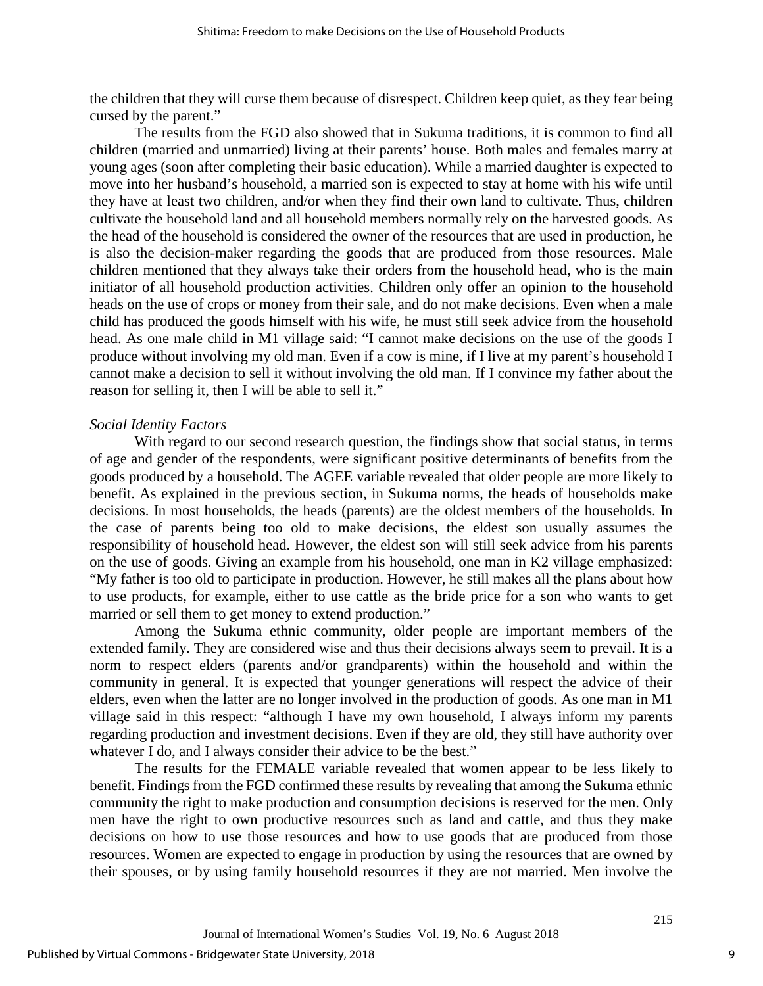the children that they will curse them because of disrespect. Children keep quiet, as they fear being cursed by the parent."

The results from the FGD also showed that in Sukuma traditions, it is common to find all children (married and unmarried) living at their parents' house. Both males and females marry at young ages (soon after completing their basic education). While a married daughter is expected to move into her husband's household, a married son is expected to stay at home with his wife until they have at least two children, and/or when they find their own land to cultivate. Thus, children cultivate the household land and all household members normally rely on the harvested goods. As the head of the household is considered the owner of the resources that are used in production, he is also the decision-maker regarding the goods that are produced from those resources. Male children mentioned that they always take their orders from the household head, who is the main initiator of all household production activities. Children only offer an opinion to the household heads on the use of crops or money from their sale, and do not make decisions. Even when a male child has produced the goods himself with his wife, he must still seek advice from the household head. As one male child in M1 village said: "I cannot make decisions on the use of the goods I produce without involving my old man. Even if a cow is mine, if I live at my parent's household I cannot make a decision to sell it without involving the old man. If I convince my father about the reason for selling it, then I will be able to sell it."

## *Social Identity Factors*

With regard to our second research question, the findings show that social status, in terms of age and gender of the respondents, were significant positive determinants of benefits from the goods produced by a household. The AGEE variable revealed that older people are more likely to benefit. As explained in the previous section, in Sukuma norms, the heads of households make decisions. In most households, the heads (parents) are the oldest members of the households. In the case of parents being too old to make decisions, the eldest son usually assumes the responsibility of household head. However, the eldest son will still seek advice from his parents on the use of goods. Giving an example from his household, one man in K2 village emphasized: "My father is too old to participate in production. However, he still makes all the plans about how to use products, for example, either to use cattle as the bride price for a son who wants to get married or sell them to get money to extend production."

Among the Sukuma ethnic community, older people are important members of the extended family. They are considered wise and thus their decisions always seem to prevail. It is a norm to respect elders (parents and/or grandparents) within the household and within the community in general. It is expected that younger generations will respect the advice of their elders, even when the latter are no longer involved in the production of goods. As one man in M1 village said in this respect: "although I have my own household, I always inform my parents regarding production and investment decisions. Even if they are old, they still have authority over whatever I do, and I always consider their advice to be the best."

The results for the FEMALE variable revealed that women appear to be less likely to benefit. Findings from the FGD confirmed these results by revealing that among the Sukuma ethnic community the right to make production and consumption decisions is reserved for the men. Only men have the right to own productive resources such as land and cattle, and thus they make decisions on how to use those resources and how to use goods that are produced from those resources. Women are expected to engage in production by using the resources that are owned by their spouses, or by using family household resources if they are not married. Men involve the

9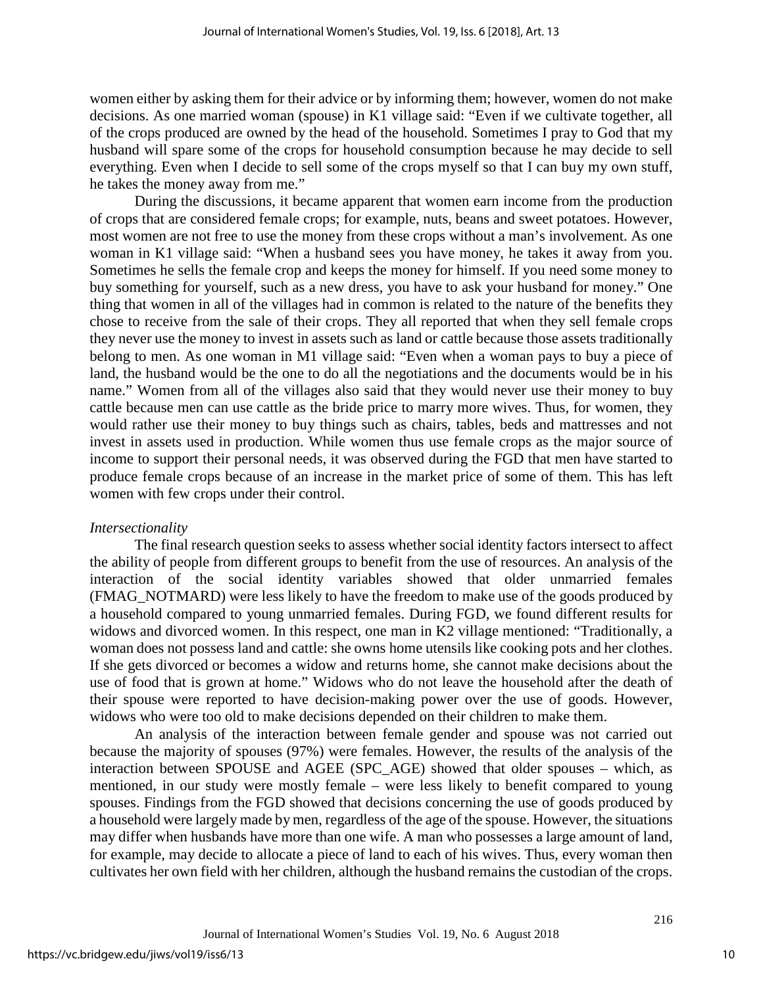women either by asking them for their advice or by informing them; however, women do not make decisions. As one married woman (spouse) in K1 village said: "Even if we cultivate together, all of the crops produced are owned by the head of the household. Sometimes I pray to God that my husband will spare some of the crops for household consumption because he may decide to sell everything. Even when I decide to sell some of the crops myself so that I can buy my own stuff, he takes the money away from me."

During the discussions, it became apparent that women earn income from the production of crops that are considered female crops; for example, nuts, beans and sweet potatoes. However, most women are not free to use the money from these crops without a man's involvement. As one woman in K1 village said: "When a husband sees you have money, he takes it away from you. Sometimes he sells the female crop and keeps the money for himself. If you need some money to buy something for yourself, such as a new dress, you have to ask your husband for money." One thing that women in all of the villages had in common is related to the nature of the benefits they chose to receive from the sale of their crops. They all reported that when they sell female crops they never use the money to invest in assets such as land or cattle because those assets traditionally belong to men. As one woman in M1 village said: "Even when a woman pays to buy a piece of land, the husband would be the one to do all the negotiations and the documents would be in his name." Women from all of the villages also said that they would never use their money to buy cattle because men can use cattle as the bride price to marry more wives. Thus, for women, they would rather use their money to buy things such as chairs, tables, beds and mattresses and not invest in assets used in production. While women thus use female crops as the major source of income to support their personal needs, it was observed during the FGD that men have started to produce female crops because of an increase in the market price of some of them. This has left women with few crops under their control.

# *Intersectionality*

The final research question seeks to assess whether social identity factors intersect to affect the ability of people from different groups to benefit from the use of resources. An analysis of the interaction of the social identity variables showed that older unmarried females (FMAG\_NOTMARD) were less likely to have the freedom to make use of the goods produced by a household compared to young unmarried females. During FGD, we found different results for widows and divorced women. In this respect, one man in K2 village mentioned: "Traditionally, a woman does not possess land and cattle: she owns home utensils like cooking pots and her clothes. If she gets divorced or becomes a widow and returns home, she cannot make decisions about the use of food that is grown at home." Widows who do not leave the household after the death of their spouse were reported to have decision-making power over the use of goods. However, widows who were too old to make decisions depended on their children to make them.

An analysis of the interaction between female gender and spouse was not carried out because the majority of spouses (97%) were females. However, the results of the analysis of the interaction between SPOUSE and AGEE (SPC\_AGE) showed that older spouses – which, as mentioned, in our study were mostly female – were less likely to benefit compared to young spouses. Findings from the FGD showed that decisions concerning the use of goods produced by a household were largely made by men, regardless of the age of the spouse. However, the situations may differ when husbands have more than one wife. A man who possesses a large amount of land, for example, may decide to allocate a piece of land to each of his wives. Thus, every woman then cultivates her own field with her children, although the husband remains the custodian of the crops.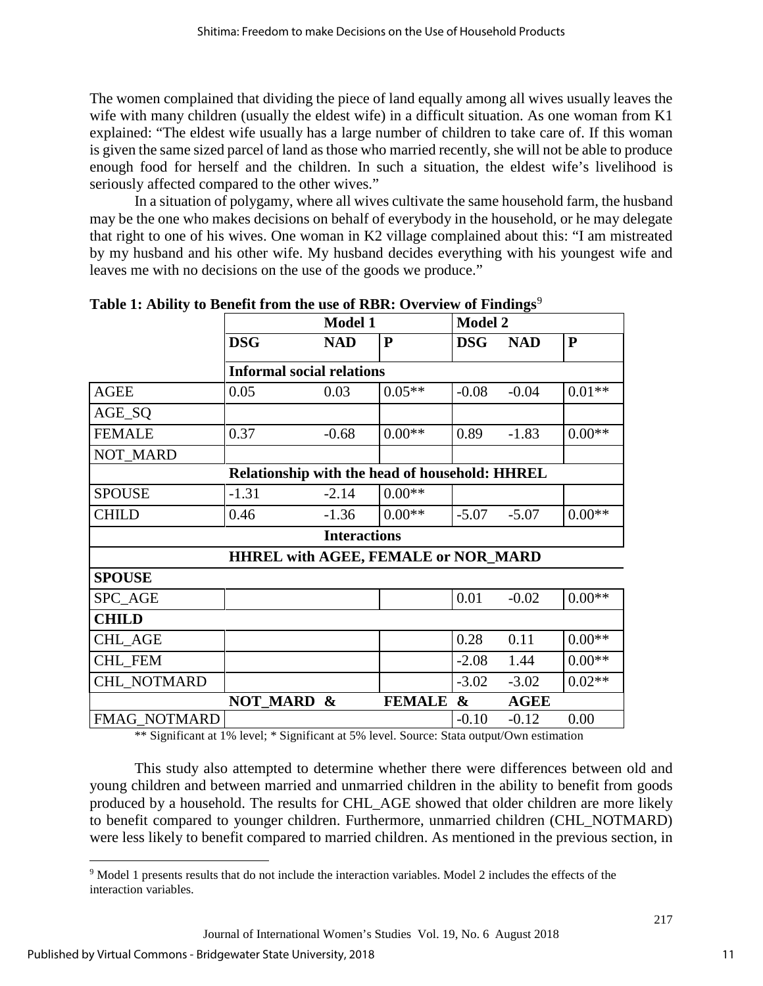The women complained that dividing the piece of land equally among all wives usually leaves the wife with many children (usually the eldest wife) in a difficult situation. As one woman from K1 explained: "The eldest wife usually has a large number of children to take care of. If this woman is given the same sized parcel of land as those who married recently, she will not be able to produce enough food for herself and the children. In such a situation, the eldest wife's livelihood is seriously affected compared to the other wives."

In a situation of polygamy, where all wives cultivate the same household farm, the husband may be the one who makes decisions on behalf of everybody in the household, or he may delegate that right to one of his wives. One woman in K2 village complained about this: "I am mistreated by my husband and his other wife. My husband decides everything with his youngest wife and leaves me with no decisions on the use of the goods we produce."

|                                                | <b>Model 1</b>                   |                            |               | <b>Model 2</b>        |             |           |
|------------------------------------------------|----------------------------------|----------------------------|---------------|-----------------------|-------------|-----------|
|                                                | <b>DSG</b>                       | <b>NAD</b>                 | ${\bf P}$     | <b>DSG</b>            | <b>NAD</b>  | ${\bf P}$ |
|                                                | <b>Informal social relations</b> |                            |               |                       |             |           |
| <b>AGEE</b>                                    | 0.05                             | 0.03                       | $0.05**$      | $-0.08$               | $-0.04$     | $0.01**$  |
| AGE_SQ                                         |                                  |                            |               |                       |             |           |
| <b>FEMALE</b>                                  | 0.37                             | $-0.68$                    | $0.00**$      | 0.89                  | $-1.83$     | $0.00**$  |
| NOT_MARD                                       |                                  |                            |               |                       |             |           |
| Relationship with the head of household: HHREL |                                  |                            |               |                       |             |           |
| <b>SPOUSE</b>                                  | $-1.31$                          | $-2.14$                    | $0.00**$      |                       |             |           |
| <b>CHILD</b>                                   | 0.46                             | $-1.36$                    | $0.00**$      | $-5.07$               | $-5.07$     | $0.00**$  |
| <b>Interactions</b>                            |                                  |                            |               |                       |             |           |
| <b>HHREL with AGEE, FEMALE or NOR_MARD</b>     |                                  |                            |               |                       |             |           |
| <b>SPOUSE</b>                                  |                                  |                            |               |                       |             |           |
| SPC_AGE                                        |                                  |                            |               | 0.01                  | $-0.02$     | $0.00**$  |
| <b>CHILD</b>                                   |                                  |                            |               |                       |             |           |
| <b>CHL AGE</b>                                 |                                  |                            |               | 0.28                  | 0.11        | $0.00**$  |
| <b>CHL FEM</b>                                 |                                  |                            |               | $-2.08$               | 1.44        | $0.00**$  |
| CHL_NOTMARD                                    |                                  |                            |               | $-3.02$               | $-3.02$     | $0.02**$  |
|                                                | <b>NOT_MARD</b>                  | $\boldsymbol{\mathcal{X}}$ | <b>FEMALE</b> | $\boldsymbol{\alpha}$ | <b>AGEE</b> |           |
| <b>FMAG NOTMARD</b>                            |                                  |                            |               | $-0.10$               | $-0.12$     | 0.00      |

**Table 1: Ability to Benefit from the use of RBR: Overview of Findings<sup>[9](#page-11-0)</sup>** 

\*\* Significant at 1% level; \* Significant at 5% level. Source: Stata output/Own estimation

This study also attempted to determine whether there were differences between old and young children and between married and unmarried children in the ability to benefit from goods produced by a household. The results for CHL\_AGE showed that older children are more likely to benefit compared to younger children. Furthermore, unmarried children (CHL\_NOTMARD) were less likely to benefit compared to married children. As mentioned in the previous section, in

<span id="page-11-0"></span>l <sup>9</sup> Model 1 presents results that do not include the interaction variables. Model 2 includes the effects of the interaction variables.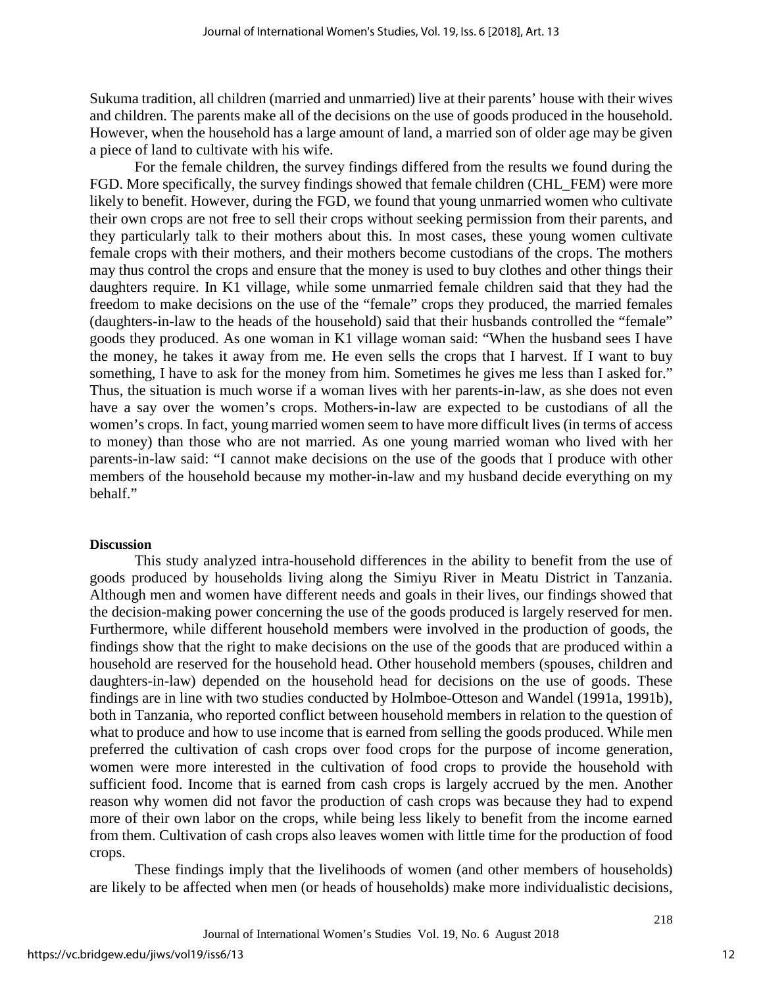Sukuma tradition, all children (married and unmarried) live at their parents' house with their wives and children. The parents make all of the decisions on the use of goods produced in the household. However, when the household has a large amount of land, a married son of older age may be given a piece of land to cultivate with his wife.

For the female children, the survey findings differed from the results we found during the FGD. More specifically, the survey findings showed that female children (CHL\_FEM) were more likely to benefit. However, during the FGD, we found that young unmarried women who cultivate their own crops are not free to sell their crops without seeking permission from their parents, and they particularly talk to their mothers about this. In most cases, these young women cultivate female crops with their mothers, and their mothers become custodians of the crops. The mothers may thus control the crops and ensure that the money is used to buy clothes and other things their daughters require. In K1 village, while some unmarried female children said that they had the freedom to make decisions on the use of the "female" crops they produced, the married females (daughters-in-law to the heads of the household) said that their husbands controlled the "female" goods they produced. As one woman in K1 village woman said: "When the husband sees I have the money, he takes it away from me. He even sells the crops that I harvest. If I want to buy something, I have to ask for the money from him. Sometimes he gives me less than I asked for." Thus, the situation is much worse if a woman lives with her parents-in-law, as she does not even have a say over the women's crops. Mothers-in-law are expected to be custodians of all the women's crops. In fact, young married women seem to have more difficult lives (in terms of access to money) than those who are not married. As one young married woman who lived with her parents-in-law said: "I cannot make decisions on the use of the goods that I produce with other members of the household because my mother-in-law and my husband decide everything on my behalf."

#### **Discussion**

This study analyzed intra-household differences in the ability to benefit from the use of goods produced by households living along the Simiyu River in Meatu District in Tanzania. Although men and women have different needs and goals in their lives, our findings showed that the decision-making power concerning the use of the goods produced is largely reserved for men. Furthermore, while different household members were involved in the production of goods, the findings show that the right to make decisions on the use of the goods that are produced within a household are reserved for the household head. Other household members (spouses, children and daughters-in-law) depended on the household head for decisions on the use of goods. These findings are in line with two studies conducted by Holmboe-Otteson and Wandel (1991a, 1991b), both in Tanzania, who reported conflict between household members in relation to the question of what to produce and how to use income that is earned from selling the goods produced. While men preferred the cultivation of cash crops over food crops for the purpose of income generation, women were more interested in the cultivation of food crops to provide the household with sufficient food. Income that is earned from cash crops is largely accrued by the men. Another reason why women did not favor the production of cash crops was because they had to expend more of their own labor on the crops, while being less likely to benefit from the income earned from them. Cultivation of cash crops also leaves women with little time for the production of food crops.

These findings imply that the livelihoods of women (and other members of households) are likely to be affected when men (or heads of households) make more individualistic decisions,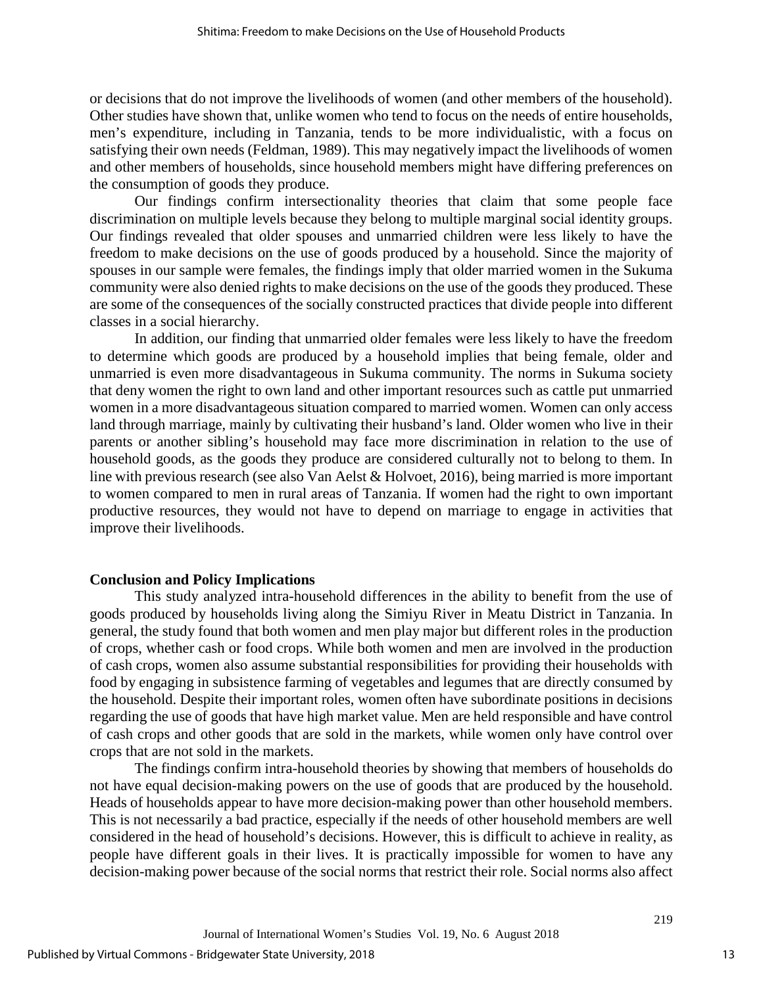or decisions that do not improve the livelihoods of women (and other members of the household). Other studies have shown that, unlike women who tend to focus on the needs of entire households, men's expenditure, including in Tanzania, tends to be more individualistic, with a focus on satisfying their own needs (Feldman, 1989). This may negatively impact the livelihoods of women and other members of households, since household members might have differing preferences on the consumption of goods they produce.

Our findings confirm intersectionality theories that claim that some people face discrimination on multiple levels because they belong to multiple marginal social identity groups. Our findings revealed that older spouses and unmarried children were less likely to have the freedom to make decisions on the use of goods produced by a household. Since the majority of spouses in our sample were females, the findings imply that older married women in the Sukuma community were also denied rights to make decisions on the use of the goods they produced. These are some of the consequences of the socially constructed practices that divide people into different classes in a social hierarchy.

In addition, our finding that unmarried older females were less likely to have the freedom to determine which goods are produced by a household implies that being female, older and unmarried is even more disadvantageous in Sukuma community. The norms in Sukuma society that deny women the right to own land and other important resources such as cattle put unmarried women in a more disadvantageous situation compared to married women. Women can only access land through marriage, mainly by cultivating their husband's land. Older women who live in their parents or another sibling's household may face more discrimination in relation to the use of household goods, as the goods they produce are considered culturally not to belong to them. In line with previous research (see also Van Aelst & Holvoet, 2016), being married is more important to women compared to men in rural areas of Tanzania. If women had the right to own important productive resources, they would not have to depend on marriage to engage in activities that improve their livelihoods.

# **Conclusion and Policy Implications**

This study analyzed intra-household differences in the ability to benefit from the use of goods produced by households living along the Simiyu River in Meatu District in Tanzania. In general, the study found that both women and men play major but different roles in the production of crops, whether cash or food crops. While both women and men are involved in the production of cash crops, women also assume substantial responsibilities for providing their households with food by engaging in subsistence farming of vegetables and legumes that are directly consumed by the household. Despite their important roles, women often have subordinate positions in decisions regarding the use of goods that have high market value. Men are held responsible and have control of cash crops and other goods that are sold in the markets, while women only have control over crops that are not sold in the markets.

The findings confirm intra-household theories by showing that members of households do not have equal decision-making powers on the use of goods that are produced by the household. Heads of households appear to have more decision-making power than other household members. This is not necessarily a bad practice, especially if the needs of other household members are well considered in the head of household's decisions. However, this is difficult to achieve in reality, as people have different goals in their lives. It is practically impossible for women to have any decision-making power because of the social norms that restrict their role. Social norms also affect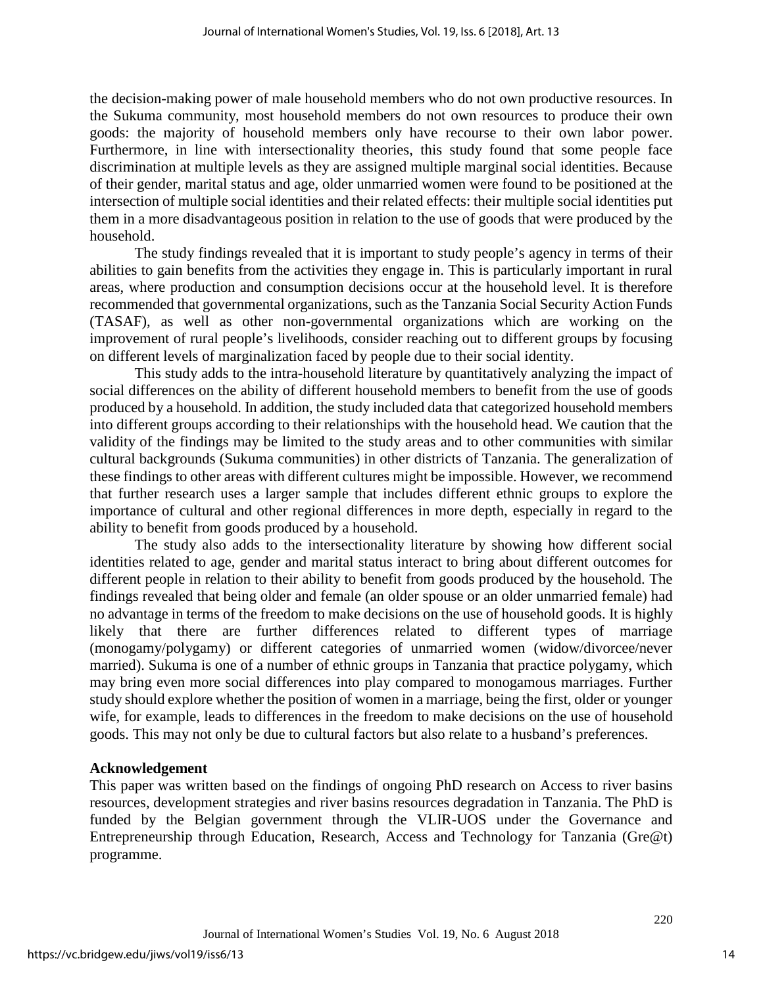the decision-making power of male household members who do not own productive resources. In the Sukuma community, most household members do not own resources to produce their own goods: the majority of household members only have recourse to their own labor power. Furthermore, in line with intersectionality theories, this study found that some people face discrimination at multiple levels as they are assigned multiple marginal social identities. Because of their gender, marital status and age, older unmarried women were found to be positioned at the intersection of multiple social identities and their related effects: their multiple social identities put them in a more disadvantageous position in relation to the use of goods that were produced by the household.

The study findings revealed that it is important to study people's agency in terms of their abilities to gain benefits from the activities they engage in. This is particularly important in rural areas, where production and consumption decisions occur at the household level. It is therefore recommended that governmental organizations, such as the Tanzania Social Security Action Funds (TASAF), as well as other non-governmental organizations which are working on the improvement of rural people's livelihoods, consider reaching out to different groups by focusing on different levels of marginalization faced by people due to their social identity.

This study adds to the intra-household literature by quantitatively analyzing the impact of social differences on the ability of different household members to benefit from the use of goods produced by a household. In addition, the study included data that categorized household members into different groups according to their relationships with the household head. We caution that the validity of the findings may be limited to the study areas and to other communities with similar cultural backgrounds (Sukuma communities) in other districts of Tanzania. The generalization of these findings to other areas with different cultures might be impossible. However, we recommend that further research uses a larger sample that includes different ethnic groups to explore the importance of cultural and other regional differences in more depth, especially in regard to the ability to benefit from goods produced by a household.

The study also adds to the intersectionality literature by showing how different social identities related to age, gender and marital status interact to bring about different outcomes for different people in relation to their ability to benefit from goods produced by the household. The findings revealed that being older and female (an older spouse or an older unmarried female) had no advantage in terms of the freedom to make decisions on the use of household goods. It is highly likely that there are further differences related to different types of marriage (monogamy/polygamy) or different categories of unmarried women (widow/divorcee/never married). Sukuma is one of a number of ethnic groups in Tanzania that practice polygamy, which may bring even more social differences into play compared to monogamous marriages. Further study should explore whether the position of women in a marriage, being the first, older or younger wife, for example, leads to differences in the freedom to make decisions on the use of household goods. This may not only be due to cultural factors but also relate to a husband's preferences.

# **Acknowledgement**

This paper was written based on the findings of ongoing PhD research on Access to river basins resources, development strategies and river basins resources degradation in Tanzania. The PhD is funded by the Belgian government through the VLIR-UOS under the Governance and Entrepreneurship through Education, Research, Access and Technology for Tanzania (Gre@t) programme.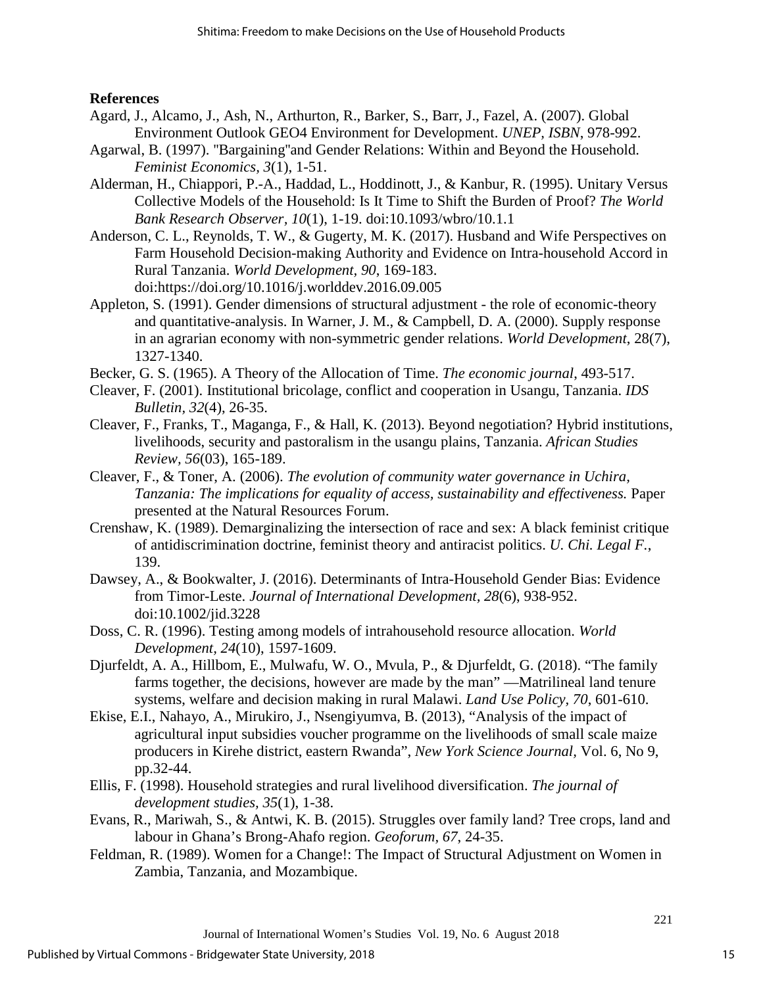# **References**

- Agard, J., Alcamo, J., Ash, N., Arthurton, R., Barker, S., Barr, J., Fazel, A. (2007). Global Environment Outlook GEO4 Environment for Development. *UNEP, ISBN*, 978-992.
- Agarwal, B. (1997). ''Bargaining''and Gender Relations: Within and Beyond the Household. *Feminist Economics, 3*(1), 1-51.
- Alderman, H., Chiappori, P.-A., Haddad, L., Hoddinott, J., & Kanbur, R. (1995). Unitary Versus Collective Models of the Household: Is It Time to Shift the Burden of Proof? *The World Bank Research Observer, 10*(1), 1-19. doi:10.1093/wbro/10.1.1
- Anderson, C. L., Reynolds, T. W., & Gugerty, M. K. (2017). Husband and Wife Perspectives on Farm Household Decision-making Authority and Evidence on Intra-household Accord in Rural Tanzania. *World Development, 90*, 169-183. doi:https://doi.org/10.1016/j.worlddev.2016.09.005
- Appleton, S. (1991). Gender dimensions of structural adjustment the role of economic-theory and quantitative-analysis. In Warner, J. M., & Campbell, D. A. (2000). Supply response in an agrarian economy with non-symmetric gender relations. *World Development*, 28(7), 1327-1340.
- Becker, G. S. (1965). A Theory of the Allocation of Time. *The economic journal*, 493-517.
- Cleaver, F. (2001). Institutional bricolage, conflict and cooperation in Usangu, Tanzania. *IDS Bulletin, 32*(4), 26-35.
- Cleaver, F., Franks, T., Maganga, F., & Hall, K. (2013). Beyond negotiation? Hybrid institutions, livelihoods, security and pastoralism in the usangu plains, Tanzania. *African Studies Review, 56*(03), 165-189.
- Cleaver, F., & Toner, A. (2006). *The evolution of community water governance in Uchira, Tanzania: The implications for equality of access, sustainability and effectiveness.* Paper presented at the Natural Resources Forum.
- Crenshaw, K. (1989). Demarginalizing the intersection of race and sex: A black feminist critique of antidiscrimination doctrine, feminist theory and antiracist politics. *U. Chi. Legal F.*, 139.
- Dawsey, A., & Bookwalter, J. (2016). Determinants of Intra-Household Gender Bias: Evidence from Timor-Leste. *Journal of International Development, 28*(6), 938-952. doi:10.1002/jid.3228
- Doss, C. R. (1996). Testing among models of intrahousehold resource allocation. *World Development, 24*(10), 1597-1609.
- Djurfeldt, A. A., Hillbom, E., Mulwafu, W. O., Mvula, P., & Djurfeldt, G. (2018). "The family farms together, the decisions, however are made by the man" —Matrilineal land tenure systems, welfare and decision making in rural Malawi. *Land Use Policy, 70*, 601-610.
- Ekise, E.I., Nahayo, A., Mirukiro, J., Nsengiyumva, B. (2013), "Analysis of the impact of agricultural input subsidies voucher programme on the livelihoods of small scale maize producers in Kirehe district, eastern Rwanda", *New York Science Journal,* Vol. 6, No 9, pp.32-44.
- Ellis, F. (1998). Household strategies and rural livelihood diversification. *The journal of development studies, 35*(1), 1-38.
- Evans, R., Mariwah, S., & Antwi, K. B. (2015). Struggles over family land? Tree crops, land and labour in Ghana's Brong-Ahafo region. *Geoforum, 67*, 24-35.
- Feldman, R. (1989). Women for a Change!: The Impact of Structural Adjustment on Women in Zambia, Tanzania, and Mozambique.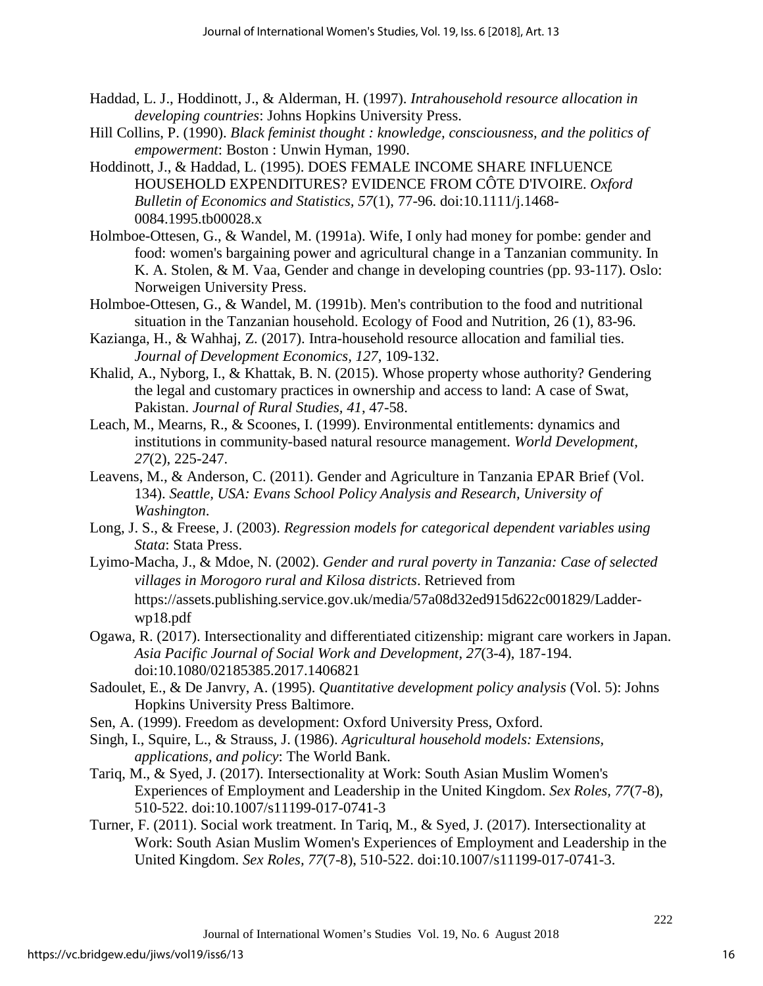- Haddad, L. J., Hoddinott, J., & Alderman, H. (1997). *Intrahousehold resource allocation in developing countries*: Johns Hopkins University Press.
- Hill Collins, P. (1990). *Black feminist thought : knowledge, consciousness, and the politics of empowerment*: Boston : Unwin Hyman, 1990.
- Hoddinott, J., & Haddad, L. (1995). DOES FEMALE INCOME SHARE INFLUENCE HOUSEHOLD EXPENDITURES? EVIDENCE FROM CÔTE D'IVOIRE. *Oxford Bulletin of Economics and Statistics, 57*(1), 77-96. doi:10.1111/j.1468- 0084.1995.tb00028.x
- Holmboe-Ottesen, G., & Wandel, M. (1991a). Wife, I only had money for pombe: gender and food: women's bargaining power and agricultural change in a Tanzanian community. In K. A. Stolen, & M. Vaa, Gender and change in developing countries (pp. 93-117). Oslo: Norweigen University Press.
- Holmboe-Ottesen, G., & Wandel, M. (1991b). Men's contribution to the food and nutritional situation in the Tanzanian household. Ecology of Food and Nutrition, 26 (1), 83-96.
- Kazianga, H., & Wahhaj, Z. (2017). Intra-household resource allocation and familial ties. *Journal of Development Economics, 127*, 109-132.
- Khalid, A., Nyborg, I., & Khattak, B. N. (2015). Whose property whose authority? Gendering the legal and customary practices in ownership and access to land: A case of Swat, Pakistan. *Journal of Rural Studies, 41*, 47-58.
- Leach, M., Mearns, R., & Scoones, I. (1999). Environmental entitlements: dynamics and institutions in community-based natural resource management. *World Development, 27*(2), 225-247.
- Leavens, M., & Anderson, C. (2011). Gender and Agriculture in Tanzania EPAR Brief (Vol. 134). *Seattle, USA: Evans School Policy Analysis and Research, University of Washington*.
- Long, J. S., & Freese, J. (2003). *Regression models for categorical dependent variables using Stata*: Stata Press.
- Lyimo-Macha, J., & Mdoe, N. (2002). *Gender and rural poverty in Tanzania: Case of selected villages in Morogoro rural and Kilosa districts*. Retrieved from https://assets.publishing.service.gov.uk/media/57a08d32ed915d622c001829/Ladderwp18.pdf
- Ogawa, R. (2017). Intersectionality and differentiated citizenship: migrant care workers in Japan. *Asia Pacific Journal of Social Work and Development, 27*(3-4), 187-194. doi:10.1080/02185385.2017.1406821
- Sadoulet, E., & De Janvry, A. (1995). *Quantitative development policy analysis* (Vol. 5): Johns Hopkins University Press Baltimore.
- Sen, A. (1999). Freedom as development: Oxford University Press, Oxford.
- Singh, I., Squire, L., & Strauss, J. (1986). *Agricultural household models: Extensions, applications, and policy*: The World Bank.
- Tariq, M., & Syed, J. (2017). Intersectionality at Work: South Asian Muslim Women's Experiences of Employment and Leadership in the United Kingdom. *Sex Roles, 77*(7-8), 510-522. doi:10.1007/s11199-017-0741-3
- Turner, F. (2011). Social work treatment. In Tariq, M., & Syed, J. (2017). Intersectionality at Work: South Asian Muslim Women's Experiences of Employment and Leadership in the United Kingdom. *Sex Roles, 77*(7-8), 510-522. doi:10.1007/s11199-017-0741-3.